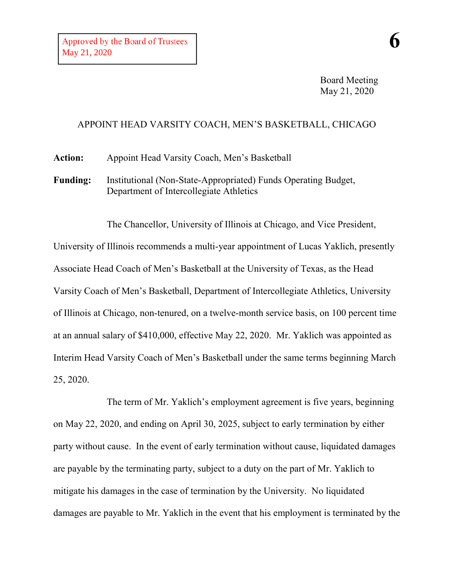May 21, 2020

**6**

## APPOINT HEAD VARSITY COACH, MEN'S BASKETBALL, CHICAGO

**Action:** Appoint Head Varsity Coach, Men's Basketball

**Funding:** Institutional (Non-State-Appropriated) Funds Operating Budget, Department of Intercollegiate Athletics

The Chancellor, University of Illinois at Chicago, and Vice President, University of Illinois recommends a multi-year appointment of Lucas Yaklich, presently Associate Head Coach of Men's Basketball at the University of Texas, as the Head Varsity Coach of Men's Basketball, Department of Intercollegiate Athletics, University of Illinois at Chicago, non-tenured, on a twelve-month service basis, on 100 percent time at an annual salary of \$410,000, effective May 22, 2020. Mr. Yaklich was appointed as Interim Head Varsity Coach of Men's Basketball under the same terms beginning March 25, 2020.

The term of Mr. Yaklich's employment agreement is five years, beginning on May 22, 2020, and ending on April 30, 2025, subject to early termination by either party without cause. In the event of early termination without cause, liquidated damages are payable by the terminating party, subject to a duty on the part of Mr. Yaklich to mitigate his damages in the case of termination by the University. No liquidated damages are payable to Mr. Yaklich in the event that his employment is terminated by the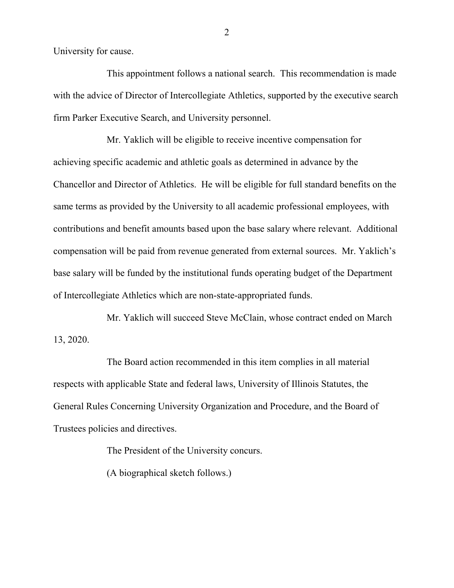University for cause.

This appointment follows a national search. This recommendation is made with the advice of Director of Intercollegiate Athletics, supported by the executive search firm Parker Executive Search, and University personnel.

Mr. Yaklich will be eligible to receive incentive compensation for achieving specific academic and athletic goals as determined in advance by the Chancellor and Director of Athletics. He will be eligible for full standard benefits on the same terms as provided by the University to all academic professional employees, with contributions and benefit amounts based upon the base salary where relevant. Additional compensation will be paid from revenue generated from external sources. Mr. Yaklich's base salary will be funded by the institutional funds operating budget of the Department of Intercollegiate Athletics which are non-state-appropriated funds.

Mr. Yaklich will succeed Steve McClain, whose contract ended on March 13, 2020.

The Board action recommended in this item complies in all material respects with applicable State and federal laws, University of Illinois Statutes, the General Rules Concerning University Organization and Procedure, and the Board of Trustees policies and directives.

The President of the University concurs.

(A biographical sketch follows.)